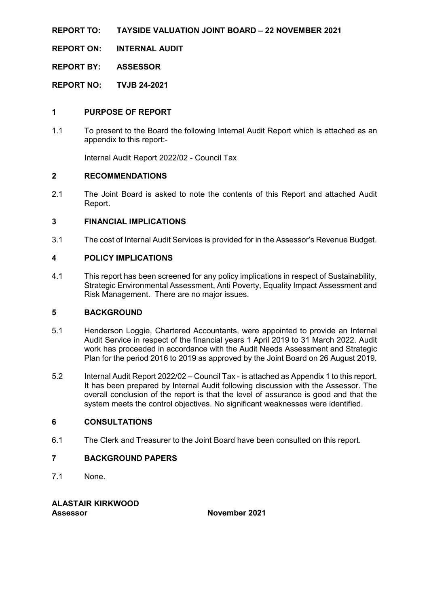**REPORT TO: TAYSIDE VALUATION JOINT BOARD – 22 NOVEMBER 2021**

**REPORT ON: INTERNAL AUDIT**

**REPORT BY: ASSESSOR**

**REPORT NO: TVJB 24-2021**

## **1 PURPOSE OF REPORT**

1.1 To present to the Board the following Internal Audit Report which is attached as an appendix to this report:-

Internal Audit Report 2022/02 - Council Tax

## **2 RECOMMENDATIONS**

2.1 The Joint Board is asked to note the contents of this Report and attached Audit Report.

## **3 FINANCIAL IMPLICATIONS**

3.1 The cost of Internal Audit Services is provided for in the Assessor's Revenue Budget.

## **4 POLICY IMPLICATIONS**

4.1 This report has been screened for any policy implications in respect of Sustainability, Strategic Environmental Assessment, Anti Poverty, Equality Impact Assessment and Risk Management. There are no major issues.

## **5 BACKGROUND**

- 5.1 Henderson Loggie, Chartered Accountants, were appointed to provide an Internal Audit Service in respect of the financial years 1 April 2019 to 31 March 2022. Audit work has proceeded in accordance with the Audit Needs Assessment and Strategic Plan for the period 2016 to 2019 as approved by the Joint Board on 26 August 2019.
- 5.2 Internal Audit Report 2022/02 Council Tax is attached as Appendix 1 to this report. It has been prepared by Internal Audit following discussion with the Assessor. The overall conclusion of the report is that the level of assurance is good and that the system meets the control objectives. No significant weaknesses were identified.

## **6 CONSULTATIONS**

6.1 The Clerk and Treasurer to the Joint Board have been consulted on this report.

## **7 BACKGROUND PAPERS**

7.1 None.

## **ALASTAIR KIRKWOOD Assessor November 2021**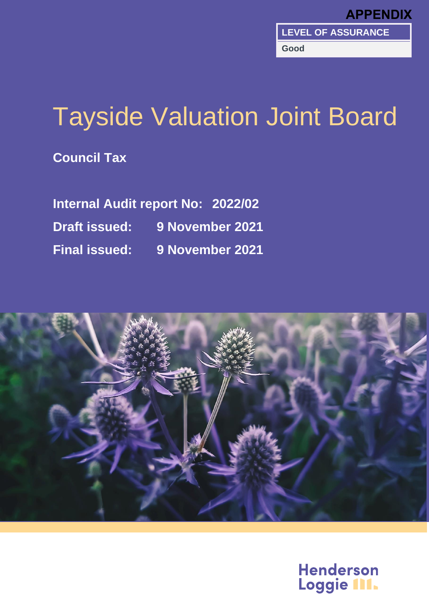

# Tayside Valuation Joint Board

**Council Tax**

**Internal Audit report No: 2022/02 Draft issued: 9 November 2021 Final issued: 9 November 2021**



**Henderson** Loggie III.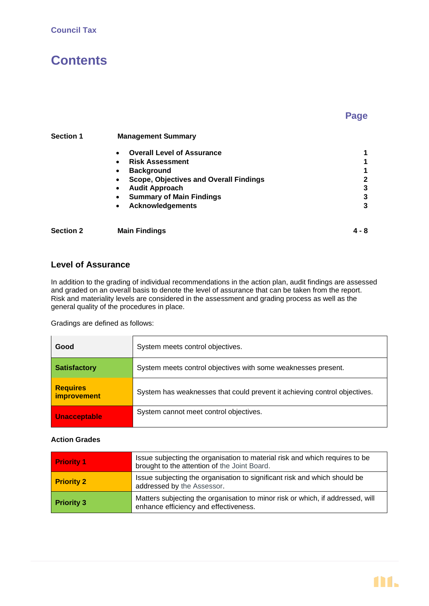# **Contents**

## **Page**

| <b>Section 1</b> | <b>Management Summary</b>                                  |              |  |  |
|------------------|------------------------------------------------------------|--------------|--|--|
|                  | <b>Overall Level of Assurance</b><br>$\bullet$             |              |  |  |
|                  | <b>Risk Assessment</b><br>$\bullet$                        |              |  |  |
|                  | <b>Background</b><br>$\bullet$                             | 1            |  |  |
|                  | <b>Scope, Objectives and Overall Findings</b><br>$\bullet$ | $\mathbf{2}$ |  |  |
|                  | <b>Audit Approach</b><br>$\bullet$                         | 3            |  |  |
|                  | <b>Summary of Main Findings</b><br>$\bullet$               | 3            |  |  |
|                  | <b>Acknowledgements</b><br>$\bullet$                       | 3            |  |  |
|                  |                                                            |              |  |  |
|                  |                                                            |              |  |  |

## **Level of Assurance**

In addition to the grading of individual recommendations in the action plan, audit findings are assessed and graded on an overall basis to denote the level of assurance that can be taken from the report. Risk and materiality levels are considered in the assessment and grading process as well as the general quality of the procedures in place.

**Section 2 Main Findings 4 - 8**

Gradings are defined as follows:

| Good                           | System meets control objectives.                                          |
|--------------------------------|---------------------------------------------------------------------------|
| <b>Satisfactory</b>            | System meets control objectives with some weaknesses present.             |
| <b>Requires</b><br>improvement | System has weaknesses that could prevent it achieving control objectives. |
| <b>Unacceptable</b>            | System cannot meet control objectives.                                    |

## **Action Grades**

| <b>Priority 1</b> | Issue subjecting the organisation to material risk and which requires to be<br>brought to the attention of the Joint Board. |
|-------------------|-----------------------------------------------------------------------------------------------------------------------------|
| <b>Priority 2</b> | Issue subjecting the organisation to significant risk and which should be<br>addressed by the Assessor.                     |
| <b>Priority 3</b> | Matters subjecting the organisation to minor risk or which, if addressed, will<br>enhance efficiency and effectiveness.     |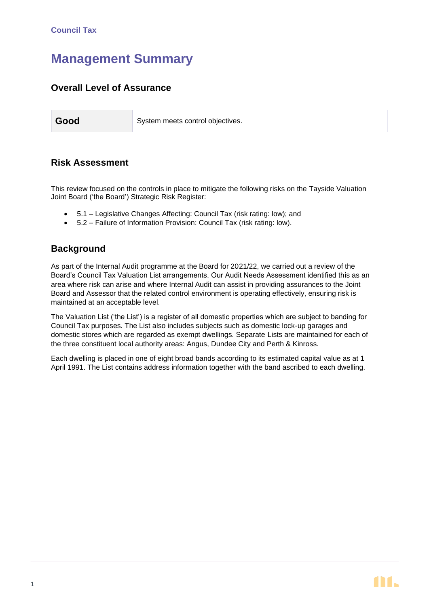## **Management Summary**

## **Overall Level of Assurance**

| Good | System meets control objectives. |
|------|----------------------------------|
|------|----------------------------------|

## **Risk Assessment**

This review focused on the controls in place to mitigate the following risks on the Tayside Valuation Joint Board ('the Board') Strategic Risk Register:

- 5.1 Legislative Changes Affecting: Council Tax (risk rating: low); and
- 5.2 Failure of Information Provision: Council Tax (risk rating: low).

## **Background**

As part of the Internal Audit programme at the Board for 2021/22, we carried out a review of the Board's Council Tax Valuation List arrangements. Our Audit Needs Assessment identified this as an area where risk can arise and where Internal Audit can assist in providing assurances to the Joint Board and Assessor that the related control environment is operating effectively, ensuring risk is maintained at an acceptable level.

The Valuation List ('the List') is a register of all domestic properties which are subject to banding for Council Tax purposes. The List also includes subjects such as domestic lock-up garages and domestic stores which are regarded as exempt dwellings. Separate Lists are maintained for each of the three constituent local authority areas: Angus, Dundee City and Perth & Kinross.

Each dwelling is placed in one of eight broad bands according to its estimated capital value as at 1 April 1991. The List contains address information together with the band ascribed to each dwelling.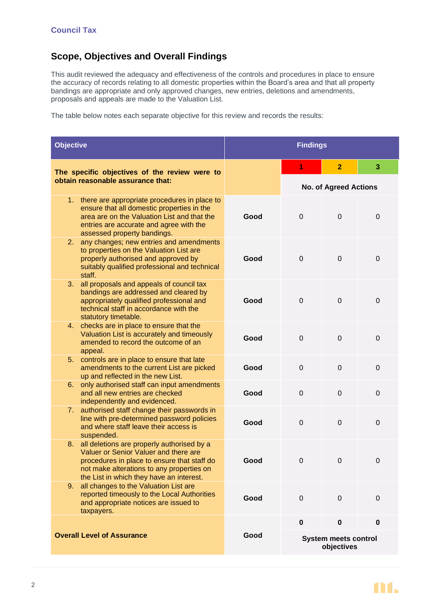## **Scope, Objectives and Overall Findings**

This audit reviewed the adequacy and effectiveness of the controls and procedures in place to ensure the accuracy of records relating to all domestic properties within the Board's area and that all property bandings are appropriate and only approved changes, new entries, deletions and amendments, proposals and appeals are made to the Valuation List.

The table below notes each separate objective for this review and records the results:

| <b>Objective</b>                                                                                                                                                                                                                  | <b>Findings</b>              |                                           |                |             |
|-----------------------------------------------------------------------------------------------------------------------------------------------------------------------------------------------------------------------------------|------------------------------|-------------------------------------------|----------------|-------------|
| The specific objectives of the review were to                                                                                                                                                                                     |                              | 1                                         | $\overline{2}$ | 3           |
| obtain reasonable assurance that:                                                                                                                                                                                                 | <b>No. of Agreed Actions</b> |                                           |                |             |
| 1. there are appropriate procedures in place to<br>ensure that all domestic properties in the<br>area are on the Valuation List and that the<br>entries are accurate and agree with the<br>assessed property bandings.            | Good                         | 0                                         | 0              | 0           |
| any changes; new entries and amendments<br>2.<br>to properties on the Valuation List are<br>properly authorised and approved by<br>suitably qualified professional and technical<br>staff.                                        | Good                         | 0                                         | 0              | 0           |
| all proposals and appeals of council tax<br>3.<br>bandings are addressed and cleared by<br>appropriately qualified professional and<br>technical staff in accordance with the<br>statutory timetable.                             | Good                         | 0                                         | $\mathbf 0$    | 0           |
| 4. checks are in place to ensure that the<br>Valuation List is accurately and timeously<br>amended to record the outcome of an<br>appeal.                                                                                         | Good                         | 0                                         | $\mathbf 0$    | $\mathbf 0$ |
| 5. controls are in place to ensure that late<br>amendments to the current List are picked<br>up and reflected in the new List.                                                                                                    | Good                         | 0                                         | $\mathbf 0$    | $\mathbf 0$ |
| only authorised staff can input amendments<br>6.<br>and all new entries are checked<br>independently and evidenced.                                                                                                               | Good                         | 0                                         | $\mathbf 0$    | 0           |
| authorised staff change their passwords in<br>7.<br>line with pre-determined password policies<br>and where staff leave their access is<br>suspended.                                                                             | Good                         | 0                                         | 0              | 0           |
| all deletions are properly authorised by a<br>8.<br>Valuer or Senior Valuer and there are<br>procedures in place to ensure that staff do<br>not make alterations to any properties on<br>the List in which they have an interest. | Good                         | 0                                         | 0              | 0           |
| all changes to the Valuation List are<br>9.<br>reported timeously to the Local Authorities<br>and appropriate notices are issued to<br>taxpayers.                                                                                 | Good                         | $\mathbf 0$                               | $\mathbf 0$    | $\mathbf 0$ |
|                                                                                                                                                                                                                                   |                              | $\mathbf 0$                               | $\pmb{0}$      | 0           |
| <b>Overall Level of Assurance</b>                                                                                                                                                                                                 | Good                         | <b>System meets control</b><br>objectives |                |             |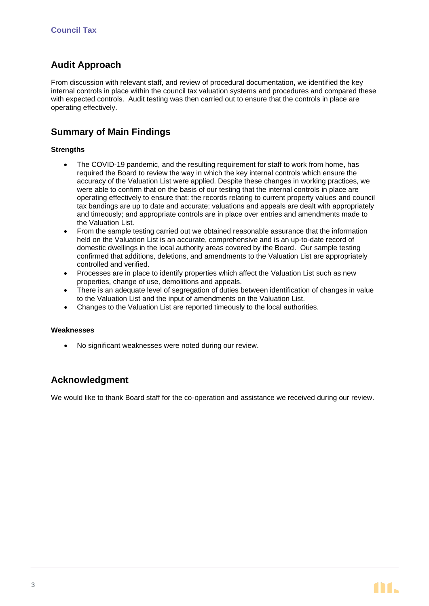## **Audit Approach**

From discussion with relevant staff, and review of procedural documentation, we identified the key internal controls in place within the council tax valuation systems and procedures and compared these with expected controls. Audit testing was then carried out to ensure that the controls in place are operating effectively.

## **Summary of Main Findings**

#### **Strengths**

- The COVID-19 pandemic, and the resulting requirement for staff to work from home, has required the Board to review the way in which the key internal controls which ensure the accuracy of the Valuation List were applied. Despite these changes in working practices, we were able to confirm that on the basis of our testing that the internal controls in place are operating effectively to ensure that: the records relating to current property values and council tax bandings are up to date and accurate; valuations and appeals are dealt with appropriately and timeously; and appropriate controls are in place over entries and amendments made to the Valuation List.
- From the sample testing carried out we obtained reasonable assurance that the information held on the Valuation List is an accurate, comprehensive and is an up-to-date record of domestic dwellings in the local authority areas covered by the Board. Our sample testing confirmed that additions, deletions, and amendments to the Valuation List are appropriately controlled and verified.
- Processes are in place to identify properties which affect the Valuation List such as new properties, change of use, demolitions and appeals.
- There is an adequate level of segregation of duties between identification of changes in value to the Valuation List and the input of amendments on the Valuation List.
- Changes to the Valuation List are reported timeously to the local authorities.

#### **Weaknesses**

• No significant weaknesses were noted during our review.

## **Acknowledgment**

We would like to thank Board staff for the co-operation and assistance we received during our review.

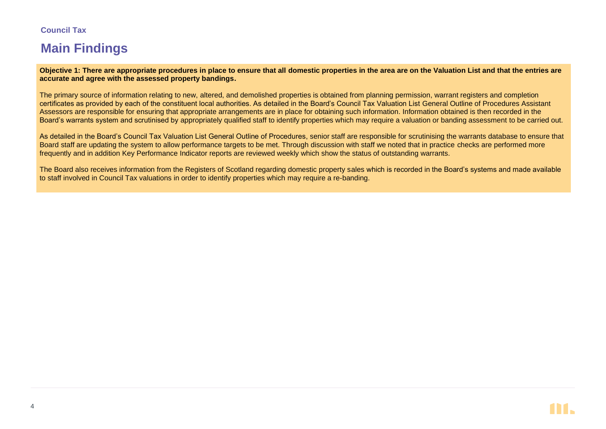## **Council Tax**

# **Main Findings**

**Objective 1: There are appropriate procedures in place to ensure that all domestic properties in the area are on the Valuation List and that the entries are accurate and agree with the assessed property bandings.**

The primary source of information relating to new, altered, and demolished properties is obtained from planning permission, warrant registers and completion certificates as provided by each of the constituent local authorities. As detailed in the Board's Council Tax Valuation List General Outline of Procedures Assistant Assessors are responsible for ensuring that appropriate arrangements are in place for obtaining such information. Information obtained is then recorded in the Board's warrants system and scrutinised by appropriately qualified staff to identify properties which may require a valuation or banding assessment to be carried out.

As detailed in the Board's Council Tax Valuation List General Outline of Procedures, senior staff are responsible for scrutinising the warrants database to ensure that Board staff are updating the system to allow performance targets to be met. Through discussion with staff we noted that in practice checks are performed more frequently and in addition Key Performance Indicator reports are reviewed weekly which show the status of outstanding warrants.

The Board also receives information from the Registers of Scotland regarding domestic property sales which is recorded in the Board's systems and made available to staff involved in Council Tax valuations in order to identify properties which may require a re-banding.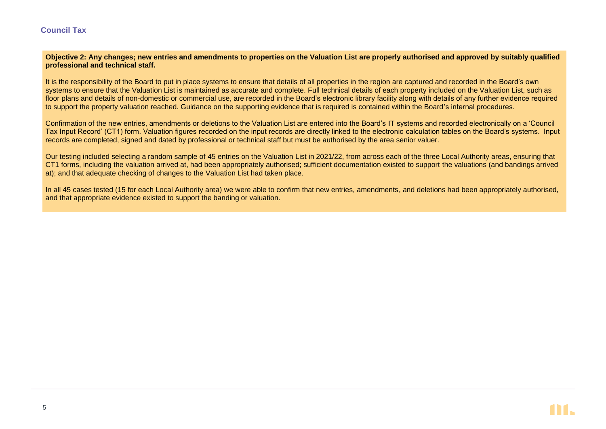## **Council Tax**

#### **Objective 2: Any changes; new entries and amendments to properties on the Valuation List are properly authorised and approved by suitably qualified professional and technical staff.**

It is the responsibility of the Board to put in place systems to ensure that details of all properties in the region are captured and recorded in the Board's own systems to ensure that the Valuation List is maintained as accurate and complete. Full technical details of each property included on the Valuation List, such as floor plans and details of non-domestic or commercial use, are recorded in the Board's electronic library facility along with details of any further evidence required to support the property valuation reached. Guidance on the supporting evidence that is required is contained within the Board's internal procedures.

Confirmation of the new entries, amendments or deletions to the Valuation List are entered into the Board's IT systems and recorded electronically on a 'Council Tax Input Record' (CT1) form. Valuation figures recorded on the input records are directly linked to the electronic calculation tables on the Board's systems. Input records are completed, signed and dated by professional or technical staff but must be authorised by the area senior valuer.

Our testing included selecting a random sample of 45 entries on the Valuation List in 2021/22, from across each of the three Local Authority areas, ensuring that CT1 forms, including the valuation arrived at, had been appropriately authorised; sufficient documentation existed to support the valuations (and bandings arrived at); and that adequate checking of changes to the Valuation List had taken place.

In all 45 cases tested (15 for each Local Authority area) we were able to confirm that new entries, amendments, and deletions had been appropriately authorised, and that appropriate evidence existed to support the banding or valuation.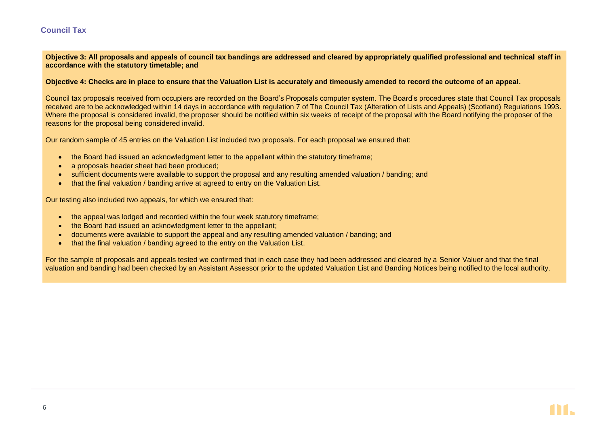## **Council Tax**

**Objective 3: All proposals and appeals of council tax bandings are addressed and cleared by appropriately qualified professional and technical staff in accordance with the statutory timetable; and**

**Objective 4: Checks are in place to ensure that the Valuation List is accurately and timeously amended to record the outcome of an appeal.**

Council tax proposals received from occupiers are recorded on the Board's Proposals computer system. The Board's procedures state that Council Tax proposals received are to be acknowledged within 14 days in accordance with regulation 7 of The Council Tax (Alteration of Lists and Appeals) (Scotland) Regulations 1993. Where the proposal is considered invalid, the proposer should be notified within six weeks of receipt of the proposal with the Board notifying the proposer of the reasons for the proposal being considered invalid.

Our random sample of 45 entries on the Valuation List included two proposals. For each proposal we ensured that:

- the Board had issued an acknowledgment letter to the appellant within the statutory timeframe;
- a proposals header sheet had been produced:
- sufficient documents were available to support the proposal and any resulting amended valuation / banding; and
- that the final valuation / banding arrive at agreed to entry on the Valuation List.

Our testing also included two appeals, for which we ensured that:

- the appeal was lodged and recorded within the four week statutory timeframe;
- the Board had issued an acknowledgment letter to the appellant:
- documents were available to support the appeal and any resulting amended valuation / banding; and
- that the final valuation / banding agreed to the entry on the Valuation List.

For the sample of proposals and appeals tested we confirmed that in each case they had been addressed and cleared by a Senior Valuer and that the final valuation and banding had been checked by an Assistant Assessor prior to the updated Valuation List and Banding Notices being notified to the local authority.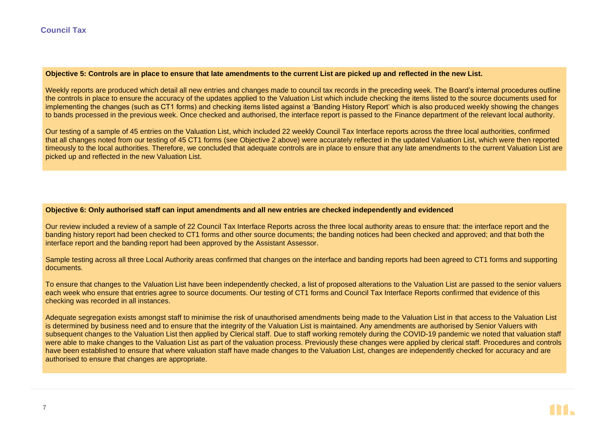#### **Objective 5: Controls are in place to ensure that late amendments to the current List are picked up and reflected in the new List.**

Weekly reports are produced which detail all new entries and changes made to council tax records in the preceding week. The Board's internal procedures outline the controls in place to ensure the accuracy of the updates applied to the Valuation List which include checking the items listed to the source documents used for implementing the changes (such as CT1 forms) and checking items listed against a 'Banding History Report' which is also produced weekly showing the changes to bands processed in the previous week. Once checked and authorised, the interface report is passed to the Finance department of the relevant local authority.

Our testing of a sample of 45 entries on the Valuation List, which included 22 weekly Council Tax Interface reports across the three local authorities, confirmed that all changes noted from our testing of 45 CT1 forms (see Objective 2 above) were accurately reflected in the updated Valuation List, which were then reported timeously to the local authorities. Therefore, we concluded that adequate controls are in place to ensure that any late amendments to the current Valuation List are picked up and reflected in the new Valuation List.

#### **Objective 6: Only authorised staff can input amendments and all new entries are checked independently and evidenced**

Our review included a review of a sample of 22 Council Tax Interface Reports across the three local authority areas to ensure that: the interface report and the banding history report had been checked to CT1 forms and other source documents; the banding notices had been checked and approved; and that both the interface report and the banding report had been approved by the Assistant Assessor.

Sample testing across all three Local Authority areas confirmed that changes on the interface and banding reports had been agreed to CT1 forms and supporting documents.

To ensure that changes to the Valuation List have been independently checked, a list of proposed alterations to the Valuation List are passed to the senior valuers each week who ensure that entries agree to source documents. Our testing of CT1 forms and Council Tax Interface Reports confirmed that evidence of this checking was recorded in all instances.

Adequate segregation exists amongst staff to minimise the risk of unauthorised amendments being made to the Valuation List in that access to the Valuation List is determined by business need and to ensure that the integrity of the Valuation List is maintained. Any amendments are authorised by Senior Valuers with subsequent changes to the Valuation List then applied by Clerical staff. Due to staff working remotely during the COVID-19 pandemic we noted that valuation staff were able to make changes to the Valuation List as part of the valuation process. Previously these changes were applied by clerical staff. Procedures and controls have been established to ensure that where valuation staff have made changes to the Valuation List, changes are independently checked for accuracy and are authorised to ensure that changes are appropriate.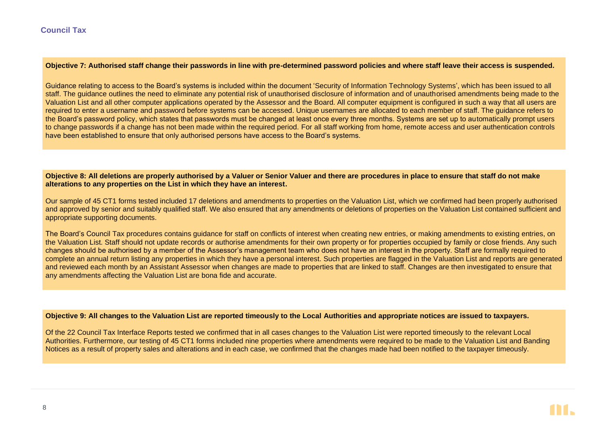#### **Objective 7: Authorised staff change their passwords in line with pre-determined password policies and where staff leave their access is suspended.**

Guidance relating to access to the Board's systems is included within the document 'Security of Information Technology Systems', which has been issued to all staff. The guidance outlines the need to eliminate any potential risk of unauthorised disclosure of information and of unauthorised amendments being made to the Valuation List and all other computer applications operated by the Assessor and the Board. All computer equipment is configured in such a way that all users are required to enter a username and password before systems can be accessed. Unique usernames are allocated to each member of staff. The quidance refers to the Board's password policy, which states that passwords must be changed at least once every three months. Systems are set up to automatically prompt users to change passwords if a change has not been made within the required period. For all staff working from home, remote access and user authentication controls have been established to ensure that only authorised persons have access to the Board's systems.

#### **Objective 8: All deletions are properly authorised by a Valuer or Senior Valuer and there are procedures in place to ensure that staff do not make alterations to any properties on the List in which they have an interest.**

Our sample of 45 CT1 forms tested included 17 deletions and amendments to properties on the Valuation List, which we confirmed had been properly authorised and approved by senior and suitably qualified staff. We also ensured that any amendments or deletions of properties on the Valuation List contained sufficient and appropriate supporting documents.

The Board's Council Tax procedures contains guidance for staff on conflicts of interest when creating new entries, or making amendments to existing entries, on the Valuation List. Staff should not update records or authorise amendments for their own property or for properties occupied by family or close friends. Any such changes should be authorised by a member of the Assessor's management team who does not have an interest in the property. Staff are formally required to complete an annual return listing any properties in which they have a personal interest. Such properties are flagged in the Valuation List and reports are generated and reviewed each month by an Assistant Assessor when changes are made to properties that are linked to staff. Changes are then investigated to ensure that any amendments affecting the Valuation List are bona fide and accurate.

#### **Objective 9: All changes to the Valuation List are reported timeously to the Local Authorities and appropriate notices are issued to taxpayers.**

Of the 22 Council Tax Interface Reports tested we confirmed that in all cases changes to the Valuation List were reported timeously to the relevant Local Authorities. Furthermore, our testing of 45 CT1 forms included nine properties where amendments were required to be made to the Valuation List and Banding Notices as a result of property sales and alterations and in each case, we confirmed that the changes made had been notified to the taxpayer timeously.